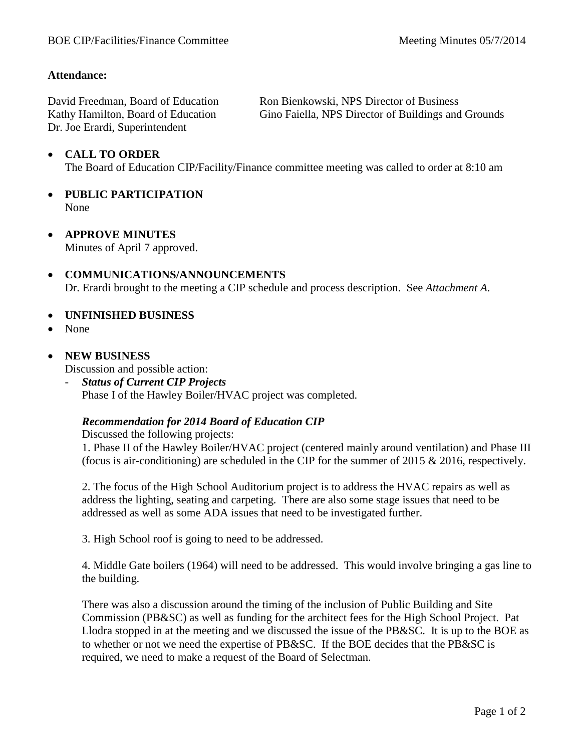## **Attendance:**

David Freedman, Board of Education Kathy Hamilton, Board of Education Dr. Joe Erardi, Superintendent

Ron Bienkowski, NPS Director of Business Gino Faiella, NPS Director of Buildings and Grounds

## • **CALL TO ORDER**

The Board of Education CIP/Facility/Finance committee meeting was called to order at 8:10 am

- **PUBLIC PARTICIPATION** None
- **APPROVE MINUTES** Minutes of April 7 approved.
- **COMMUNICATIONS/ANNOUNCEMENTS** Dr. Erardi brought to the meeting a CIP schedule and process description. See *Attachment A*.
- **UNFINISHED BUSINESS**
- None
- **NEW BUSINESS**

Discussion and possible action:

- *Status of Current CIP Projects* Phase I of the Hawley Boiler/HVAC project was completed.

## *Recommendation for 2014 Board of Education CIP*

Discussed the following projects:

1. Phase II of the Hawley Boiler/HVAC project (centered mainly around ventilation) and Phase III (focus is air-conditioning) are scheduled in the CIP for the summer of 2015  $& 2016$ , respectively.

2. The focus of the High School Auditorium project is to address the HVAC repairs as well as address the lighting, seating and carpeting. There are also some stage issues that need to be addressed as well as some ADA issues that need to be investigated further.

3. High School roof is going to need to be addressed.

4. Middle Gate boilers (1964) will need to be addressed. This would involve bringing a gas line to the building.

There was also a discussion around the timing of the inclusion of Public Building and Site Commission (PB&SC) as well as funding for the architect fees for the High School Project. Pat Llodra stopped in at the meeting and we discussed the issue of the PB&SC. It is up to the BOE as to whether or not we need the expertise of PB&SC. If the BOE decides that the PB&SC is required, we need to make a request of the Board of Selectman.